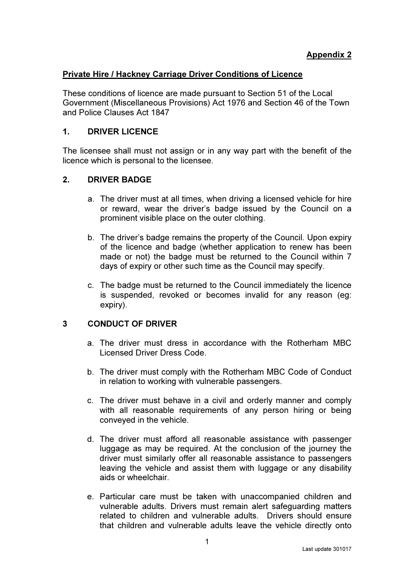### Private Hire / Hackney Carriage Driver Conditions of Licence

These conditions of licence are made pursuant to Section 51 of the Local Government (Miscellaneous Provisions) Act 1976 and Section 46 of the Town and Police Clauses Act 1847

### 1. DRIVER LICENCE

The licensee shall must not assign or in any way part with the benefit of the licence which is personal to the licensee.

# 2. DRIVER BADGE

- a. The driver must at all times, when driving a licensed vehicle for hire or reward, wear the driver's badge issued by the Council on a prominent visible place on the outer clothing.
- b. The driver's badge remains the property of the Council. Upon expiry of the licence and badge (whether application to renew has been made or not) the badge must be returned to the Council within 7 days of expiry or other such time as the Council may specify.
- c. The badge must be returned to the Council immediately the licence is suspended, revoked or becomes invalid for any reason (eg: expiry).

# 3 CONDUCT OF DRIVER

- a. The driver must dress in accordance with the Rotherham MBC Licensed Driver Dress Code.
- b. The driver must comply with the Rotherham MBC Code of Conduct in relation to working with vulnerable passengers.
- c. The driver must behave in a civil and orderly manner and comply with all reasonable requirements of any person hiring or being conveyed in the vehicle.
- d. The driver must afford all reasonable assistance with passenger luggage as may be required. At the conclusion of the journey the driver must similarly offer all reasonable assistance to passengers leaving the vehicle and assist them with luggage or any disability aids or wheelchair.
- e. Particular care must be taken with unaccompanied children and vulnerable adults. Drivers must remain alert safeguarding matters related to children and vulnerable adults. Drivers should ensure that children and vulnerable adults leave the vehicle directly onto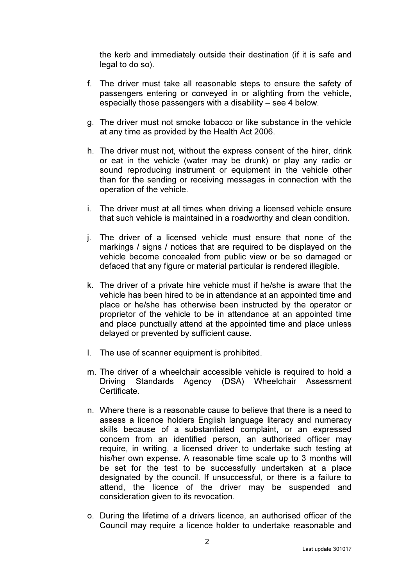the kerb and immediately outside their destination (if it is safe and legal to do so).

- f. The driver must take all reasonable steps to ensure the safety of passengers entering or conveyed in or alighting from the vehicle, especially those passengers with a disability – see 4 below.
- g. The driver must not smoke tobacco or like substance in the vehicle at any time as provided by the Health Act 2006.
- h. The driver must not, without the express consent of the hirer, drink or eat in the vehicle (water may be drunk) or play any radio or sound reproducing instrument or equipment in the vehicle other than for the sending or receiving messages in connection with the operation of the vehicle.
- i. The driver must at all times when driving a licensed vehicle ensure that such vehicle is maintained in a roadworthy and clean condition.
- j. The driver of a licensed vehicle must ensure that none of the markings / signs / notices that are required to be displayed on the vehicle become concealed from public view or be so damaged or defaced that any figure or material particular is rendered illegible.
- k. The driver of a private hire vehicle must if he/she is aware that the vehicle has been hired to be in attendance at an appointed time and place or he/she has otherwise been instructed by the operator or proprietor of the vehicle to be in attendance at an appointed time and place punctually attend at the appointed time and place unless delayed or prevented by sufficient cause.
- l. The use of scanner equipment is prohibited.
- m. The driver of a wheelchair accessible vehicle is required to hold a Driving Standards Agency (DSA) Wheelchair Assessment **Certificate**
- n. Where there is a reasonable cause to believe that there is a need to assess a licence holders English language literacy and numeracy skills because of a substantiated complaint, or an expressed concern from an identified person, an authorised officer may require, in writing, a licensed driver to undertake such testing at his/her own expense. A reasonable time scale up to 3 months will be set for the test to be successfully undertaken at a place designated by the council. If unsuccessful, or there is a failure to attend, the licence of the driver may be suspended and consideration given to its revocation.
- o. During the lifetime of a drivers licence, an authorised officer of the Council may require a licence holder to undertake reasonable and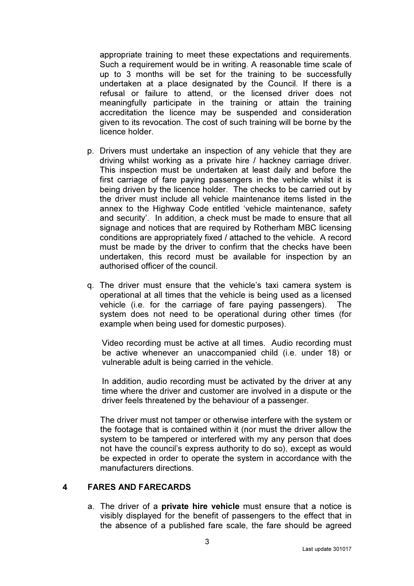appropriate training to meet these expectations and requirements. Such a requirement would be in writing. A reasonable time scale of up to 3 months will be set for the training to be successfully undertaken at a place designated by the Council. If there is a refusal or failure to attend, or the licensed driver does not meaningfully participate in the training or attain the training accreditation the licence may be suspended and consideration given to its revocation. The cost of such training will be borne by the licence holder.

- p. Drivers must undertake an inspection of any vehicle that they are driving whilst working as a private hire / hackney carriage driver. This inspection must be undertaken at least daily and before the first carriage of fare paying passengers in the vehicle whilst it is being driven by the licence holder. The checks to be carried out by the driver must include all vehicle maintenance items listed in the annex to the Highway Code entitled 'vehicle maintenance, safety and security'. In addition, a check must be made to ensure that all signage and notices that are required by Rotherham MBC licensing conditions are appropriately fixed / attached to the vehicle. A record must be made by the driver to confirm that the checks have been undertaken, this record must be available for inspection by an authorised officer of the council.
- q. The driver must ensure that the vehicle's taxi camera system is operational at all times that the vehicle is being used as a licensed vehicle (i.e. for the carriage of fare paying passengers). The system does not need to be operational during other times (for example when being used for domestic purposes).

Video recording must be active at all times. Audio recording must be active whenever an unaccompanied child (i.e. under 18) or vulnerable adult is being carried in the vehicle.

In addition, audio recording must be activated by the driver at any time where the driver and customer are involved in a dispute or the driver feels threatened by the behaviour of a passenger.

The driver must not tamper or otherwise interfere with the system or the footage that is contained within it (nor must the driver allow the system to be tampered or interfered with my any person that does not have the council's express authority to do so), except as would be expected in order to operate the system in accordance with the manufacturers directions.

### 4 FARES AND FARECARDS

a. The driver of a private hire vehicle must ensure that a notice is visibly displayed for the benefit of passengers to the effect that in the absence of a published fare scale, the fare should be agreed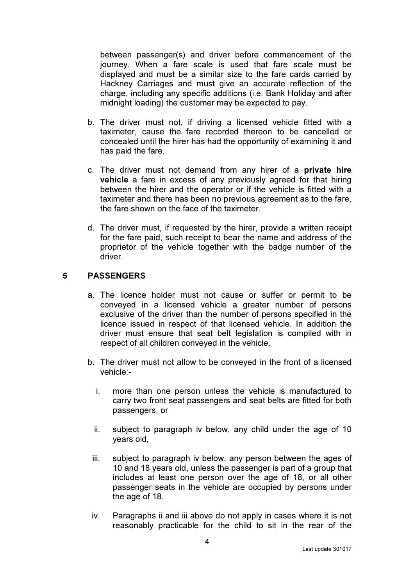between passenger(s) and driver before commencement of the journey. When a fare scale is used that fare scale must be displayed and must be a similar size to the fare cards carried by Hackney Carriages and must give an accurate reflection of the charge, including any specific additions (i.e. Bank Holiday and after midnight loading) the customer may be expected to pay.

- b. The driver must not, if driving a licensed vehicle fitted with a taximeter, cause the fare recorded thereon to be cancelled or concealed until the hirer has had the opportunity of examining it and has paid the fare.
- c. The driver must not demand from any hirer of a private hire vehicle a fare in excess of any previously agreed for that hiring between the hirer and the operator or if the vehicle is fitted with a taximeter and there has been no previous agreement as to the fare, the fare shown on the face of the taximeter.
- d. The driver must, if requested by the hirer, provide a written receipt for the fare paid, such receipt to bear the name and address of the proprietor of the vehicle together with the badge number of the driver.

### 5 PASSENGERS

- a. The licence holder must not cause or suffer or permit to be conveyed in a licensed vehicle a greater number of persons exclusive of the driver than the number of persons specified in the licence issued in respect of that licensed vehicle. In addition the driver must ensure that seat belt legislation is compiled with in respect of all children conveyed in the vehicle.
- b. The driver must not allow to be conveyed in the front of a licensed vehicle:
	- i. more than one person unless the vehicle is manufactured to carry two front seat passengers and seat belts are fitted for both passengers, or
	- ii. subject to paragraph iv below, any child under the age of 10 years old,
	- iii. subject to paragraph iv below, any person between the ages of 10 and 18 years old, unless the passenger is part of a group that includes at least one person over the age of 18, or all other passenger seats in the vehicle are occupied by persons under the age of 18.
	- iv. Paragraphs ii and iii above do not apply in cases where it is not reasonably practicable for the child to sit in the rear of the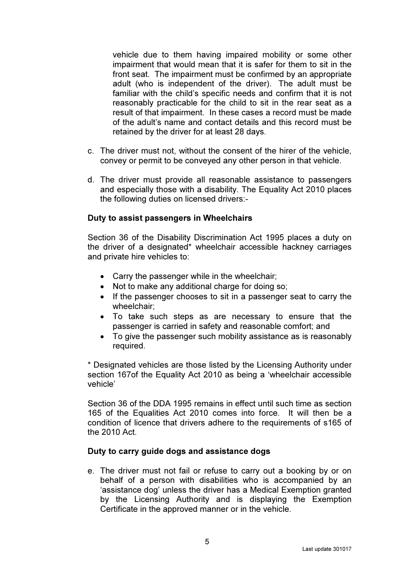vehicle due to them having impaired mobility or some other impairment that would mean that it is safer for them to sit in the front seat. The impairment must be confirmed by an appropriate adult (who is independent of the driver). The adult must be familiar with the child's specific needs and confirm that it is not reasonably practicable for the child to sit in the rear seat as a result of that impairment. In these cases a record must be made of the adult's name and contact details and this record must be retained by the driver for at least 28 days.

- c. The driver must not, without the consent of the hirer of the vehicle, convey or permit to be conveyed any other person in that vehicle.
- d. The driver must provide all reasonable assistance to passengers and especially those with a disability. The Equality Act 2010 places the following duties on licensed drivers:-

#### Duty to assist passengers in Wheelchairs

Section 36 of the Disability Discrimination Act 1995 places a duty on the driver of a designated\* wheelchair accessible hackney carriages and private hire vehicles to:

- Carry the passenger while in the wheelchair;
- Not to make any additional charge for doing so;
- If the passenger chooses to sit in a passenger seat to carry the wheelchair;
- To take such steps as are necessary to ensure that the passenger is carried in safety and reasonable comfort; and
- To give the passenger such mobility assistance as is reasonably required.

\* Designated vehicles are those listed by the Licensing Authority under section 167of the Equality Act 2010 as being a 'wheelchair accessible vehicle'

Section 36 of the DDA 1995 remains in effect until such time as section 165 of the Equalities Act 2010 comes into force. It will then be a condition of licence that drivers adhere to the requirements of s165 of the 2010 Act.

#### Duty to carry guide dogs and assistance dogs

e. The driver must not fail or refuse to carry out a booking by or on behalf of a person with disabilities who is accompanied by an 'assistance dog' unless the driver has a Medical Exemption granted by the Licensing Authority and is displaying the Exemption Certificate in the approved manner or in the vehicle.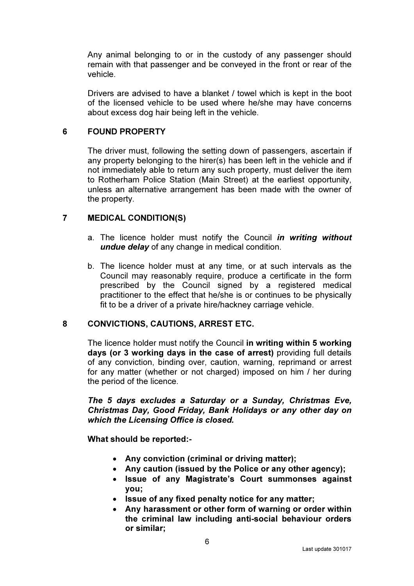Any animal belonging to or in the custody of any passenger should remain with that passenger and be conveyed in the front or rear of the vehicle.

Drivers are advised to have a blanket / towel which is kept in the boot of the licensed vehicle to be used where he/she may have concerns about excess dog hair being left in the vehicle.

### 6 FOUND PROPERTY

The driver must, following the setting down of passengers, ascertain if any property belonging to the hirer(s) has been left in the vehicle and if not immediately able to return any such property, must deliver the item to Rotherham Police Station (Main Street) at the earliest opportunity, unless an alternative arrangement has been made with the owner of the property.

### 7 MEDICAL CONDITION(S)

- a. The licence holder must notify the Council in writing without undue delay of any change in medical condition.
- b. The licence holder must at any time, or at such intervals as the Council may reasonably require, produce a certificate in the form prescribed by the Council signed by a registered medical practitioner to the effect that he/she is or continues to be physically fit to be a driver of a private hire/hackney carriage vehicle.

#### 8 CONVICTIONS, CAUTIONS, ARREST ETC.

The licence holder must notify the Council in writing within 5 working days (or 3 working days in the case of arrest) providing full details of any conviction, binding over, caution, warning, reprimand or arrest for any matter (whether or not charged) imposed on him / her during the period of the licence.

The 5 days excludes a Saturday or a Sunday, Christmas Eve, Christmas Day, Good Friday, Bank Holidays or any other day on which the Licensing Office is closed.

What should be reported:-

- Any conviction (criminal or driving matter);
- Any caution (issued by the Police or any other agency);
- Issue of any Magistrate's Court summonses against you;
- Issue of any fixed penalty notice for any matter;
- Any harassment or other form of warning or order within the criminal law including anti-social behaviour orders or similar;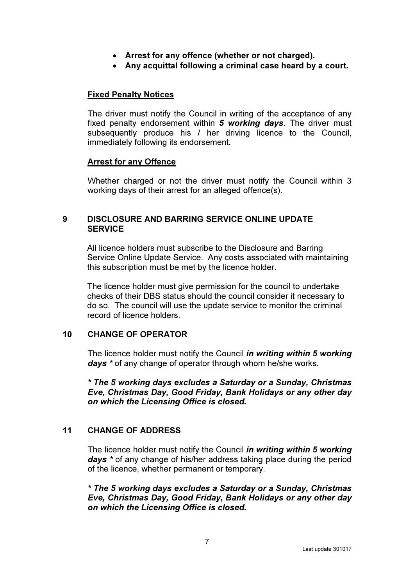- Arrest for any offence (whether or not charged).
- Any acquittal following a criminal case heard by a court.

### Fixed Penalty Notices

The driver must notify the Council in writing of the acceptance of any fixed penalty endorsement within 5 working days. The driver must subsequently produce his / her driving licence to the Council, immediately following its endorsement.

### Arrest for any Offence

Whether charged or not the driver must notify the Council within 3 working days of their arrest for an alleged offence(s).

### 9 DISCLOSURE AND BARRING SERVICE ONLINE UPDATE **SERVICE**

All licence holders must subscribe to the Disclosure and Barring Service Online Update Service. Any costs associated with maintaining this subscription must be met by the licence holder.

The licence holder must give permission for the council to undertake checks of their DBS status should the council consider it necessary to do so. The council will use the update service to monitor the criminal record of licence holders.

### 10 CHANGE OF OPERATOR

The licence holder must notify the Council in writing within 5 working days \* of any change of operator through whom he/she works.

\* The 5 working days excludes a Saturday or a Sunday, Christmas Eve, Christmas Day, Good Friday, Bank Holidays or any other day on which the Licensing Office is closed.

### 11 CHANGE OF ADDRESS

The licence holder must notify the Council in writing within 5 working days \* of any change of his/her address taking place during the period of the licence, whether permanent or temporary.

\* The 5 working days excludes a Saturday or a Sunday, Christmas Eve, Christmas Day, Good Friday, Bank Holidays or any other day on which the Licensing Office is closed.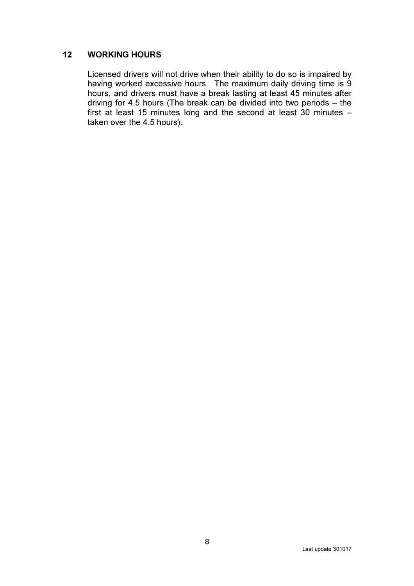### 12 WORKING HOURS

Licensed drivers will not drive when their ability to do so is impaired by having worked excessive hours. The maximum daily driving time is 9 hours, and drivers must have a break lasting at least 45 minutes after driving for 4.5 hours (The break can be divided into two periods – the first at least 15 minutes long and the second at least 30 minutes  $$ taken over the 4.5 hours).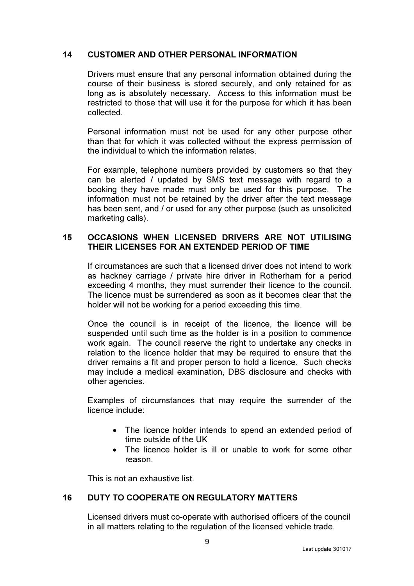### 14 CUSTOMER AND OTHER PERSONAL INFORMATION

Drivers must ensure that any personal information obtained during the course of their business is stored securely, and only retained for as long as is absolutely necessary. Access to this information must be restricted to those that will use it for the purpose for which it has been collected.

Personal information must not be used for any other purpose other than that for which it was collected without the express permission of the individual to which the information relates.

For example, telephone numbers provided by customers so that they can be alerted / updated by SMS text message with regard to a booking they have made must only be used for this purpose. The information must not be retained by the driver after the text message has been sent, and / or used for any other purpose (such as unsolicited marketing calls).

### 15 OCCASIONS WHEN LICENSED DRIVERS ARE NOT UTILISING THEIR LICENSES FOR AN EXTENDED PERIOD OF TIME

 If circumstances are such that a licensed driver does not intend to work as hackney carriage / private hire driver in Rotherham for a period exceeding 4 months, they must surrender their licence to the council. The licence must be surrendered as soon as it becomes clear that the holder will not be working for a period exceeding this time.

Once the council is in receipt of the licence, the licence will be suspended until such time as the holder is in a position to commence work again. The council reserve the right to undertake any checks in relation to the licence holder that may be required to ensure that the driver remains a fit and proper person to hold a licence. Such checks may include a medical examination, DBS disclosure and checks with other agencies.

Examples of circumstances that may require the surrender of the licence include:

- The licence holder intends to spend an extended period of time outside of the UK
- The licence holder is ill or unable to work for some other reason.

This is not an exhaustive list.

# 16 DUTY TO COOPERATE ON REGULATORY MATTERS

Licensed drivers must co-operate with authorised officers of the council in all matters relating to the regulation of the licensed vehicle trade.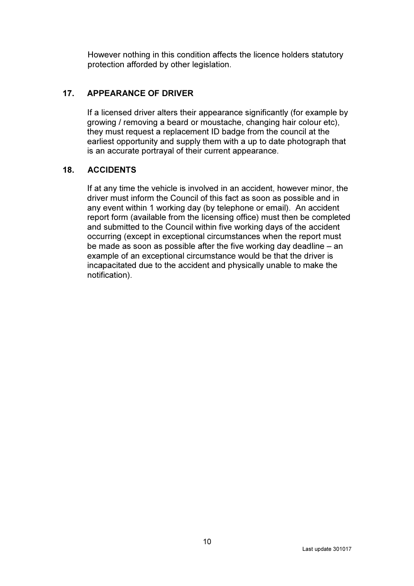However nothing in this condition affects the licence holders statutory protection afforded by other legislation.

# 17. APPEARANCE OF DRIVER

If a licensed driver alters their appearance significantly (for example by growing / removing a beard or moustache, changing hair colour etc), they must request a replacement ID badge from the council at the earliest opportunity and supply them with a up to date photograph that is an accurate portrayal of their current appearance.

# 18. ACCIDENTS

If at any time the vehicle is involved in an accident, however minor, the driver must inform the Council of this fact as soon as possible and in any event within 1 working day (by telephone or email). An accident report form (available from the licensing office) must then be completed and submitted to the Council within five working days of the accident occurring (except in exceptional circumstances when the report must be made as soon as possible after the five working day deadline – an example of an exceptional circumstance would be that the driver is incapacitated due to the accident and physically unable to make the notification).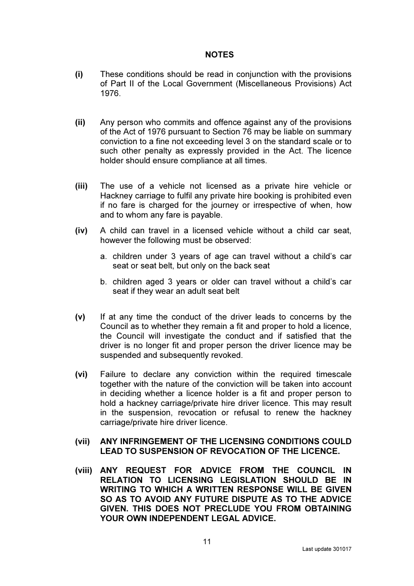#### NOTES

- (i) These conditions should be read in conjunction with the provisions of Part II of the Local Government (Miscellaneous Provisions) Act 1976.
- (ii) Any person who commits and offence against any of the provisions of the Act of 1976 pursuant to Section 76 may be liable on summary conviction to a fine not exceeding level 3 on the standard scale or to such other penalty as expressly provided in the Act. The licence holder should ensure compliance at all times.
- (iii) The use of a vehicle not licensed as a private hire vehicle or Hackney carriage to fulfil any private hire booking is prohibited even if no fare is charged for the journey or irrespective of when, how and to whom any fare is payable.
- (iv) A child can travel in a licensed vehicle without a child car seat, however the following must be observed:
	- a. children under 3 years of age can travel without a child's car seat or seat belt, but only on the back seat
	- b. children aged 3 years or older can travel without a child's car seat if they wear an adult seat belt
- (v) If at any time the conduct of the driver leads to concerns by the Council as to whether they remain a fit and proper to hold a licence, the Council will investigate the conduct and if satisfied that the driver is no longer fit and proper person the driver licence may be suspended and subsequently revoked.
- (vi) Failure to declare any conviction within the required timescale together with the nature of the conviction will be taken into account in deciding whether a licence holder is a fit and proper person to hold a hackney carriage/private hire driver licence. This may result in the suspension, revocation or refusal to renew the hackney carriage/private hire driver licence.
- (vii) ANY INFRINGEMENT OF THE LICENSING CONDITIONS COULD LEAD TO SUSPENSION OF REVOCATION OF THE LICENCE.
- (viii) ANY REQUEST FOR ADVICE FROM THE COUNCIL IN RELATION TO LICENSING LEGISLATION SHOULD BE IN WRITING TO WHICH A WRITTEN RESPONSE WILL BE GIVEN SO AS TO AVOID ANY FUTURE DISPUTE AS TO THE ADVICE GIVEN. THIS DOES NOT PRECLUDE YOU FROM OBTAINING YOUR OWN INDEPENDENT LEGAL ADVICE.